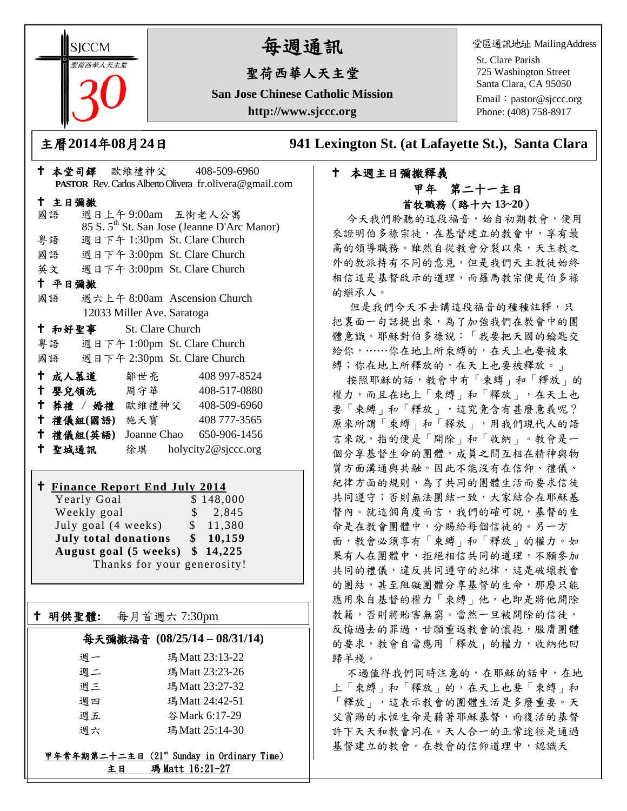**SICCM** 猫西華人天主堂

主日彌撒

平日彌撒

Ξ

# 每週通訊

## 聖荷西華人天主堂

**San Jose Chinese Catholic Mission http://www.sjccc.org**

堂區通訊地址 MailingAddress

St. Clare Parish 725 Washington Street Santa Clara, CA 95050 Email: [pastor@sjccc.org](mailto:pastor@sjccc.org) Phone: (408) 758-8917

主曆**2014**年**08**月**24**日 **941 Lexington St. (at Lafayette St.), Santa Clara** 

## 本堂司鐸 歐維禮神父 408-509-6960 **PASTOR** Rev. Carlos Alberto Olivera fr.olivera@gmail.com 國語 週日上午 9:00am 五街老人公寓 85 S. 5th St. San Jose (Jeanne D'Arc Manor) 粵語 週日下午 1:30pm St. Clare Church 國語 週日下午 3:00pm St. Clare Church 英文 週日下午 3:00pm St. Clare Church 國語 週六上午 8:00am Ascension Church 12033 Miller Ave. Saratoga

| 十 和好聖事 | <b>St.</b> Clare Church |                              |
|--------|-------------------------|------------------------------|
| 粤語     |                         | 週日下午 1:00pm St. Clare Church |
| 國語     |                         | 週日下午 2:30pm St. Clare Church |
| + 成人慕道 | 鄒世亮                     | 408 997-8524                 |

| 1 瓜八本里    | 別" ヒ かこ     |                     |
|-----------|-------------|---------------------|
| † 嬰兒領洗    | 周 守 華       | 408-517-0880        |
| † 葬禮 / 婚禮 | 歐維禮神父       | 408-509-6960        |
| 十 禮儀組(國語) | 施天寶         | 408 777-3565        |
| 十 禮儀組(英語) | Joanne Chao | 650-906-1456        |
| 十 聖城通訊    | 徐琪          | holycity2@sjccc.org |

### **Finance Report End July 2014**

Yearly Goal \$148,000 Weekly goal  $\qquad$  \$ 2,845 July goal  $(4 \text{ weeks})$  \$ 11,380 **July total donations \$ 10,159 August goal (5 weeks) \$ 14,225** Thanks for your generosity!

明供聖體**:** 每月首週六 7:30pm

### 每天彌撒福音 **(08/25/14 – 08/31/14)**

| 週一 | 瑪Matt 23:13-22  |
|----|-----------------|
| 週二 | 瑪Matt 23:23-26  |
| 週三 | 瑪Matt 23:27-32  |
| 週四 | 瑪 Matt 24:42-51 |
| 週五 | 谷 Mark 6:17-29  |
| 调六 | 瑪 Matt 25:14-30 |

#### 甲年常年期第二十二主日 (21st Sunday in Ordinary Time) 主日 瑪 Matt 16:21-27

### 本週主日彌撒釋義 甲年 第二十一主日 首牧職務(路十六 **13~20**)

今天我們聆聽的這段福音,始自初期教會,便用 來證明伯多祿宗徒,在基督建立的教會中,享有最 高的領導職務。雖然自從教會分裂以來,天主教之 外的教派持有不同的意見,但是我們天主教徒始終 相信這是基督啟示的道理,而羅馬教宗便是伯多祿 的繼承人。

但是我們今天不去講這段福音的種種註釋,只 把裏面一句話提出來,為了加強我們在教會中的團 體意識。耶穌對伯多祿說:「我要把天國的鑰匙交 給你,……你在地上所束縛的,在天上也要被束 縛;你在地上所釋放的,在天上也要被釋放。」

按照耶穌的話,教會中有「束縛」和「釋放」的 權力,而且在地上「束縛」和「釋放」,在天上也 要「束縛」和「釋放」,這究竟含有甚麼意義呢? 原來所謂「束縛」和「釋放」,用我們現代人的語 言來說,指的便是「開除」和「收納」。教會是一 個分享基督生命的團體,成員之間互相在精神與物 質方面溝通與共融。因此不能沒有在信仰、禮儀、 紀律方面的規則,為了共同的團體生活而要求信徒 共同遵守;否則無法團結一致,大家結合在耶穌基 督內。就這個角度而言,我們的確可說,基督的生 命是在教會團體中,分賜給每個信徒的。另一方 面,教會必須享有「束縛」和「釋放」的權力。如 果有人在團體中,拒絕相信共同的道理,不願參加 共同的禮儀,違反共同遵守的紀律,這是破壞教會 的團結,甚至阻礙團體分享基督的生命,那麼只能 應用來自基督的權力「束縛」他,也即是將他開除 教籍,否則將貽害無窮。當然一旦被開除的信徒, 反悔過去的罪過,甘願重返教會的懷抱,服膺團體 的要求,教會自當應用「釋放」的權力,收納他回 歸羊棧。

不過值得我們同時注意的,在耶穌的話中,在地 上「束縛」和「釋放」的,在天上也要「束縛」和 「釋放」,這表示教會的團體生活是多麼重要。天 父賞賜的永恆生命是藉著耶穌基督,而復活的基督 許下天天和教會同在。天人合一的正常途徑是通過 基督建立的教會。在教會的信仰道理中,認識天